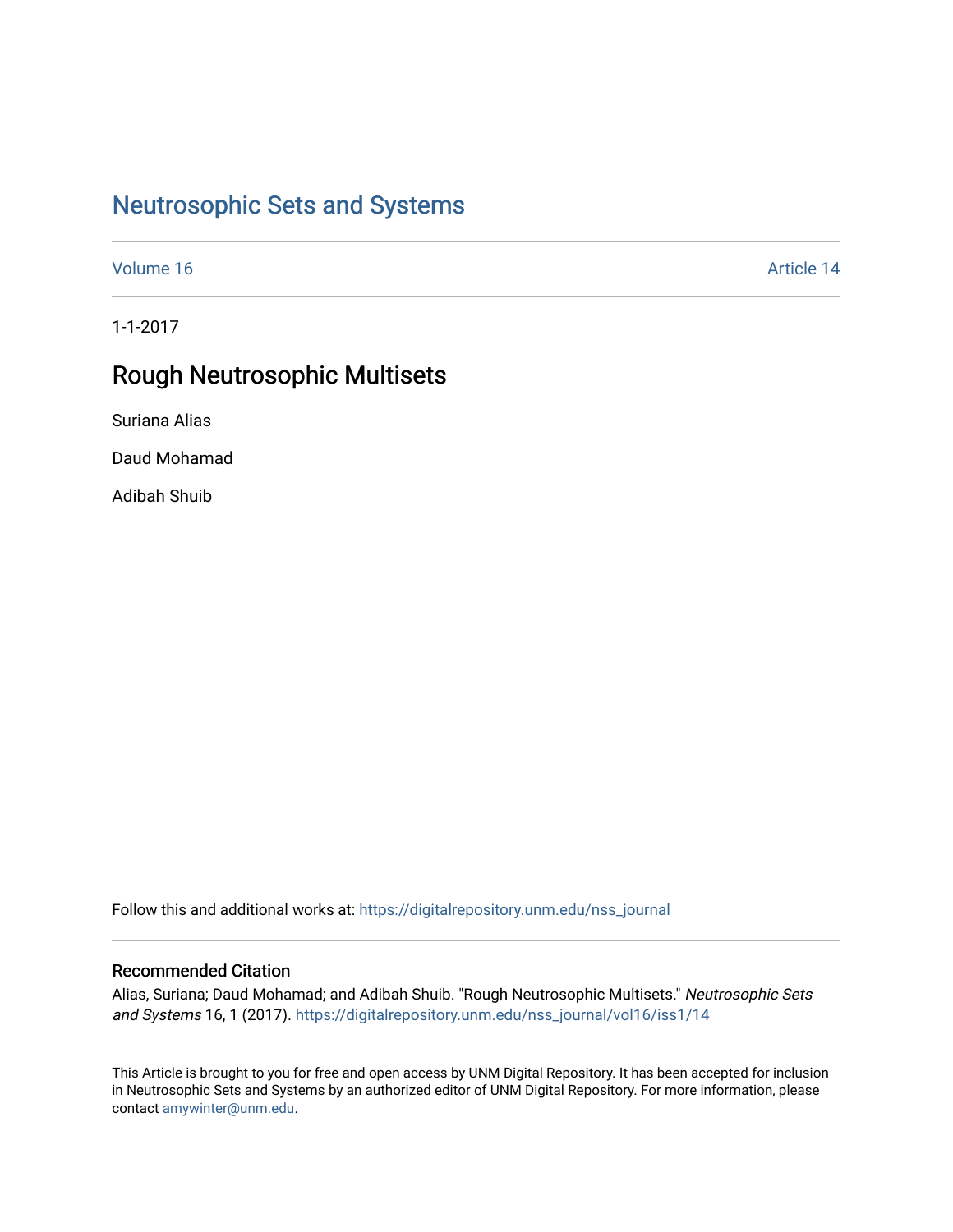# [Neutrosophic Sets and Systems](https://digitalrepository.unm.edu/nss_journal)

[Volume 16](https://digitalrepository.unm.edu/nss_journal/vol16) Article 14

1-1-2017

# Rough Neutrosophic Multisets

Suriana Alias

Daud Mohamad

Adibah Shuib

Follow this and additional works at: [https://digitalrepository.unm.edu/nss\\_journal](https://digitalrepository.unm.edu/nss_journal?utm_source=digitalrepository.unm.edu%2Fnss_journal%2Fvol16%2Fiss1%2F14&utm_medium=PDF&utm_campaign=PDFCoverPages) 

## Recommended Citation

Alias, Suriana; Daud Mohamad; and Adibah Shuib. "Rough Neutrosophic Multisets." Neutrosophic Sets and Systems 16, 1 (2017). [https://digitalrepository.unm.edu/nss\\_journal/vol16/iss1/14](https://digitalrepository.unm.edu/nss_journal/vol16/iss1/14?utm_source=digitalrepository.unm.edu%2Fnss_journal%2Fvol16%2Fiss1%2F14&utm_medium=PDF&utm_campaign=PDFCoverPages)

This Article is brought to you for free and open access by UNM Digital Repository. It has been accepted for inclusion in Neutrosophic Sets and Systems by an authorized editor of UNM Digital Repository. For more information, please contact [amywinter@unm.edu](mailto:amywinter@unm.edu).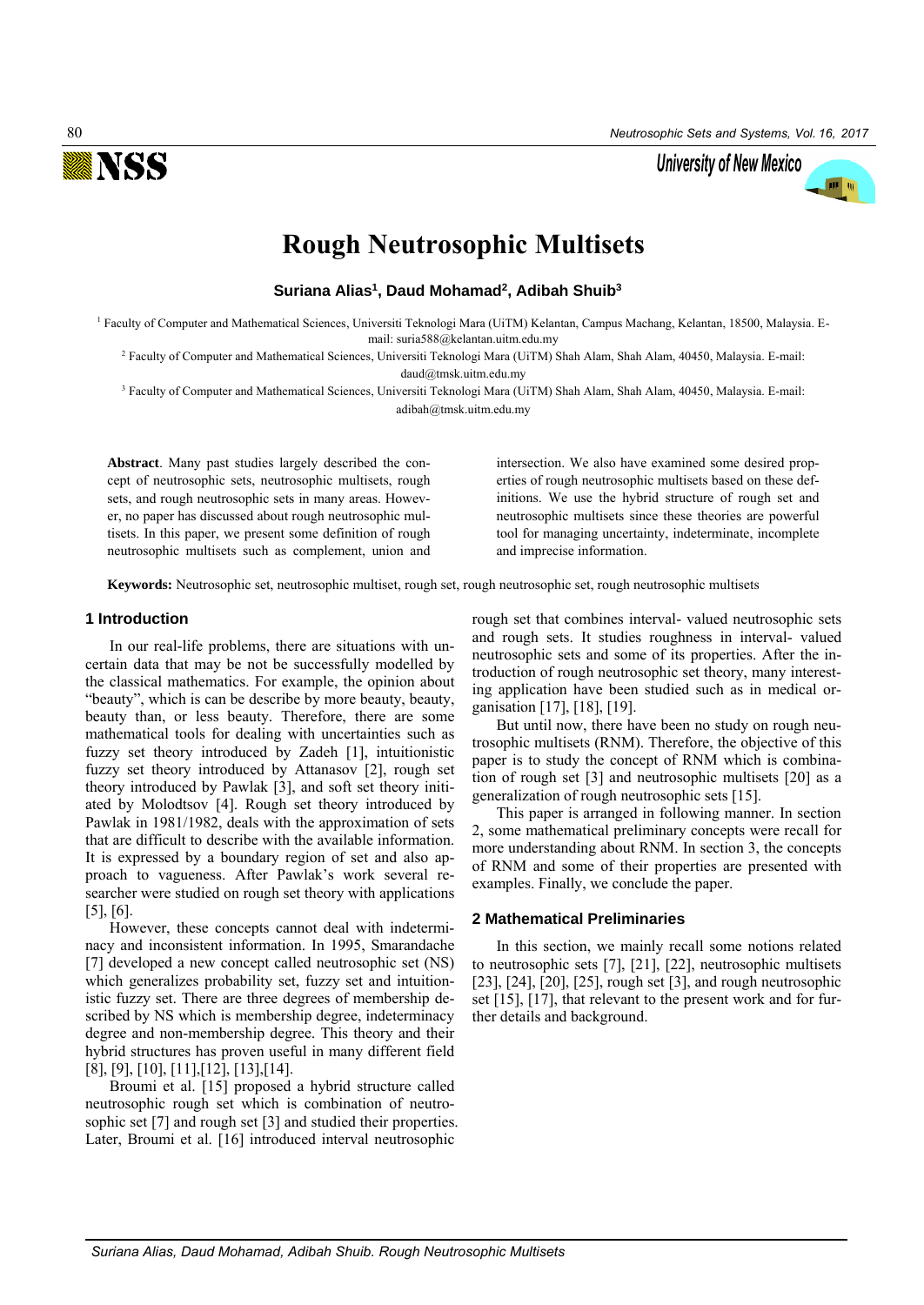

University of New Mexico



**Suriana Alias<sup>1</sup> , Daud Mohamad<sup>2</sup> , Adibah Shuib<sup>3</sup>**

<sup>1</sup> Faculty of Computer and Mathematical Sciences, Universiti Teknologi Mara (UiTM) Kelantan, Campus Machang, Kelantan, 18500, Malaysia. Email: suria588@kelantan.uitm.edu.my

<sup>2</sup> Faculty of Computer and Mathematical Sciences, Universiti Teknologi Mara (UiTM) Shah Alam, Shah Alam, 40450, Malaysia. E-mail: daud@tmsk.uitm.edu.my

<sup>3</sup> Faculty of Computer and Mathematical Sciences, Universiti Teknologi Mara (UiTM) Shah Alam, Shah Alam, 40450, Malaysia. E-mail: adibah@tmsk.uitm.edu.my

**Abstract**. Many past studies largely described the concept of neutrosophic sets, neutrosophic multisets, rough sets, and rough neutrosophic sets in many areas. However, no paper has discussed about rough neutrosophic multisets. In this paper, we present some definition of rough neutrosophic multisets such as complement, union and intersection. We also have examined some desired properties of rough neutrosophic multisets based on these definitions. We use the hybrid structure of rough set and neutrosophic multisets since these theories are powerful tool for managing uncertainty, indeterminate, incomplete and imprecise information.

**Keywords:** Neutrosophic set, neutrosophic multiset, rough set, rough neutrosophic set, rough neutrosophic multisets

#### **1 Introduction**

In our real-life problems, there are situations with uncertain data that may be not be successfully modelled by the classical mathematics. For example, the opinion about "beauty", which is can be describe by more beauty, beauty, beauty than, or less beauty. Therefore, there are some mathematical tools for dealing with uncertainties such as fuzzy set theory introduced by Zadeh [1], intuitionistic fuzzy set theory introduced by Attanasov [2], rough set theory introduced by Pawlak [3], and soft set theory initiated by Molodtsov [4]. Rough set theory introduced by Pawlak in 1981/1982, deals with the approximation of sets that are difficult to describe with the available information. It is expressed by a boundary region of set and also approach to vagueness. After Pawlak's work several researcher were studied on rough set theory with applications [5], [6].

However, these concepts cannot deal with indeterminacy and inconsistent information. In 1995, Smarandache [7] developed a new concept called neutrosophic set (NS) which generalizes probability set, fuzzy set and intuitionistic fuzzy set. There are three degrees of membership described by NS which is membership degree, indeterminacy degree and non-membership degree. This theory and their hybrid structures has proven useful in many different field [8], [9], [10], [11],[12], [13],[14].

Broumi et al. [15] proposed a hybrid structure called neutrosophic rough set which is combination of neutrosophic set [7] and rough set [3] and studied their properties. Later, Broumi et al. [16] introduced interval neutrosophic

rough set that combines interval- valued neutrosophic sets and rough sets. It studies roughness in interval- valued neutrosophic sets and some of its properties. After the introduction of rough neutrosophic set theory, many interesting application have been studied such as in medical organisation [17], [18], [19].

But until now, there have been no study on rough neutrosophic multisets (RNM). Therefore, the objective of this paper is to study the concept of RNM which is combination of rough set [3] and neutrosophic multisets [20] as a generalization of rough neutrosophic sets [15].

This paper is arranged in following manner. In section 2, some mathematical preliminary concepts were recall for more understanding about RNM. In section 3, the concepts of RNM and some of their properties are presented with examples. Finally, we conclude the paper.

#### **2 Mathematical Preliminaries**

In this section, we mainly recall some notions related to neutrosophic sets [7], [21], [22], neutrosophic multisets [23], [24], [20], [25], rough set [3], and rough neutrosophic set [15], [17], that relevant to the present work and for further details and background.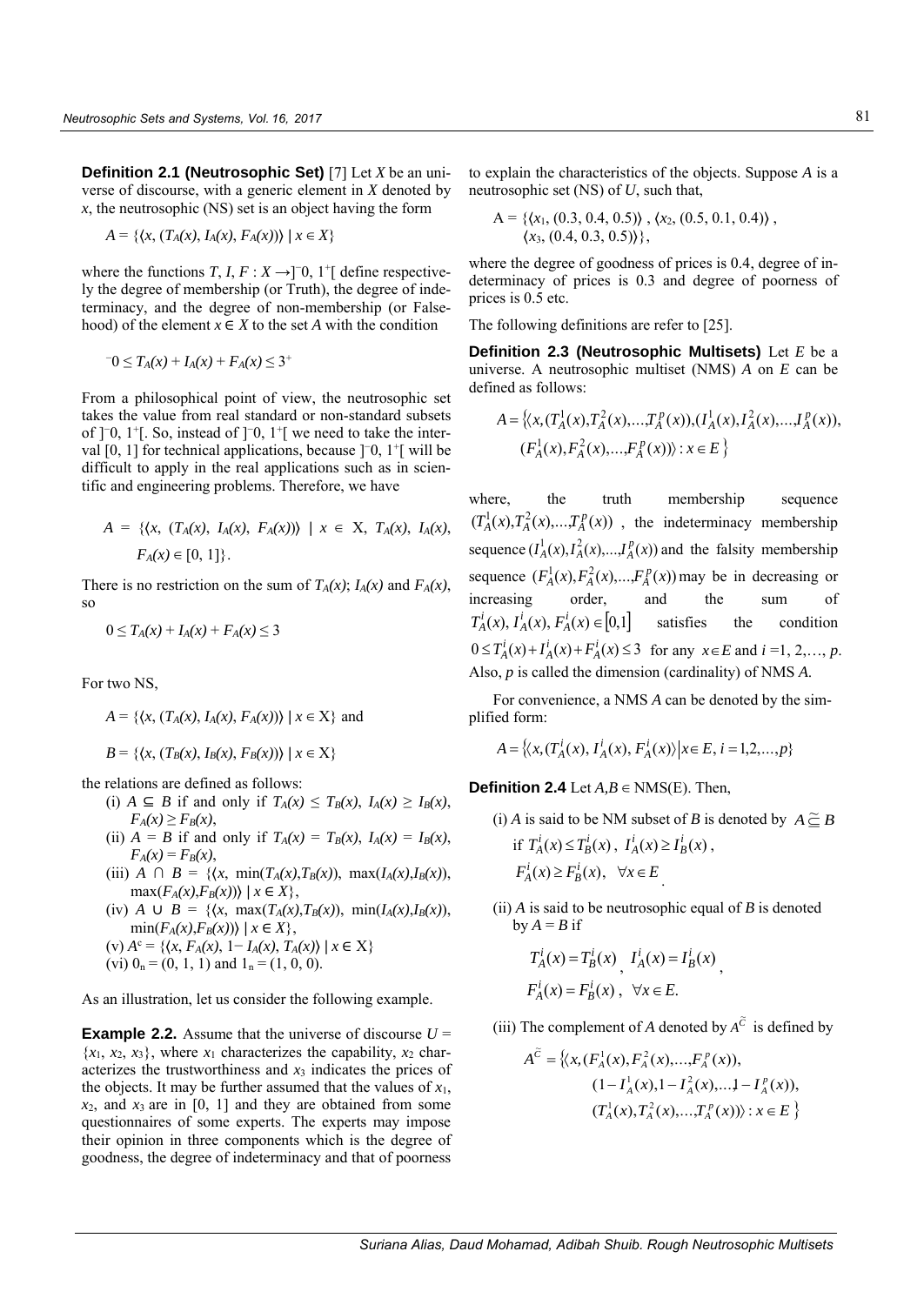**Definition 2.1 (Neutrosophic Set)** [7] Let *X* be an universe of discourse, with a generic element in *X* denoted by *x*, the neutrosophic (NS) set is an object having the form

$$
A = \{ \langle x, (T_A(x), I_A(x), F_A(x)) \rangle \mid x \in X \}
$$

where the functions *T*, *I*,  $F: X \rightarrow ]0, 1^{\dagger}$  define respectively the degree of membership (or Truth), the degree of indeterminacy, and the degree of non-membership (or Falsehood) of the element  $x \in X$  to the set *A* with the condition

$$
-0 \le T_A(x) + I_A(x) + F_A(x) \le 3^+
$$

From a philosophical point of view, the neutrosophic set takes the value from real standard or non-standard subsets of ]<sup>−</sup>0, 1<sup>+</sup>[. So, instead of ]<sup>−</sup>0, 1<sup>+</sup>[ we need to take the interval [0, 1] for technical applications, because ]<sup>-</sup>0, 1<sup>+</sup>[ will be difficult to apply in the real applications such as in scientific and engineering problems. Therefore, we have

$$
A = \{ \langle x, (T_A(x), I_A(x), F_A(x)) \rangle \mid x \in X, T_A(x), I_A(x), F_A(x) \in [0, 1] \}.
$$

There is no restriction on the sum of  $T_A(x)$ ;  $I_A(x)$  and  $F_A(x)$ , so

$$
0 \leq T_A(x) + I_A(x) + F_A(x) \leq 3
$$

For two NS,

$$
A = \{(x, (T_A(x), I_A(x), F_A(x))) | x \in X\}
$$
 and

$$
B = \{ \langle x, (T_B(x), I_B(x), F_B(x)) \rangle \mid x \in X \}
$$

the relations are defined as follows:

- (i) *A* ⊆ *B* if and only if  $T_A(x) \leq T_B(x)$ ,  $I_A(x) \geq I_B(x)$ ,  $F_A(x) \geq F_B(x)$ ,
- (ii)  $A = B$  if and only if  $T_A(x) = T_B(x)$ ,  $I_A(x) = I_B(x)$ ,  $F_A(x) = F_B(x)$ ,
- (iii) *A*  $\cap$  *B* = { $\{x, \min(T_A(x), T_B(x)), \max(T_A(x), I_B(x)),$  $\max(F_A(x), F_B(x)) \mid x \in X$ ,
- (iv) *A*  $\cup$  *B* = { $\{(x, \max(T_A(x), T_B(x)), \min(T_A(x), I_B(x)),$  $\min(F_A(x), F_B(x)) \mid x \in X$ ,
- $(v) A<sup>c</sup> = \{ (x, F<sub>A</sub>(x), 1 I<sub>A</sub>(x), T<sub>A</sub>(x)) | x \in X \}$ (vi)  $0_n = (0, 1, 1)$  and  $1_n = (1, 0, 0)$ .

As an illustration, let us consider the following example.

**Example 2.2.** Assume that the universe of discourse *U* =  ${x_1, x_2, x_3}$ , where  $x_1$  characterizes the capability,  $x_2$  characterizes the trustworthiness and  $x_3$  indicates the prices of the objects. It may be further assumed that the values of  $x_1$ ,  $x_2$ , and  $x_3$  are in [0, 1] and they are obtained from some questionnaires of some experts. The experts may impose their opinion in three components which is the degree of goodness, the degree of indeterminacy and that of poorness

to explain the characteristics of the objects. Suppose *A* is a neutrosophic set (NS) of *U*, such that,

$$
A = \{ \langle x_1, (0.3, 0.4, 0.5) \rangle, \langle x_2, (0.5, 0.1, 0.4) \rangle, \\ \langle x_3, (0.4, 0.3, 0.5) \rangle \},
$$

where the degree of goodness of prices is 0.4, degree of indeterminacy of prices is 0.3 and degree of poorness of prices is 0.5 etc.

The following definitions are refer to [25].

**Definition 2.3 (Neutrosophic Multisets)** Let *E* be a universe. A neutrosophic multiset (NMS) *A* on *E* can be defined as follows:

$$
A = \{ \langle x, (T_A^1(x), T_A^2(x), \dots, T_A^p(x)), (I_A^1(x), I_A^2(x), \dots, I_A^p(x)), \\ (F_A^1(x), F_A^2(x), \dots, F_A^p(x)) \rangle : x \in E \}
$$

where, the truth membership sequence  $(T_A^1(x), T_A^2(x), \ldots, T_A^p(x))$ , the indeterminacy membership sequence  $(I_A^1(x), I_A^2(x),...,I_A^p(x))$  and the falsity membership sequence  $(F_A^1(x), F_A^2(x),...,F_A^p(x))$  may be in decreasing or increasing order, and the sum of  $T_A^i(x)$ ,  $T_A^i(x)$ ,  $F_A^i(x) \in [0,1]$  satisfies the condition  $0 \le T_A^i(x) + I_A^i(x) + F_A^i(x) \le 3$  for any  $x \in E$  and  $i = 1, 2, ..., p$ . Also, *p* is called the dimension (cardinality) of NMS *A*.

For convenience, a NMS *A* can be denoted by the simplified form:

$$
A = \{ \langle x, (T_A^i(x), I_A^i(x), F_A^i(x)) | x \in E, i = 1, 2, ..., p \}
$$

**Definition 2.4** Let  $A, B \in NMS(E)$ . Then,

- (i) *A* is said to be NM subset of *B* is denoted by  $A \succeq B$ if  $T_A^i(x) \le T_B^i(x)$ ,  $I_A^i(x) \ge I_B^i(x)$ ,  $F_A^i(x) \ge F_B^i(x), \quad \forall x \in E$
- (ii)  $\overline{A}$  is said to be neutrosophic equal of  $\overline{B}$  is denoted  $by A = B$  if

$$
T_A^i(x) = T_B^i(x), \quad I_A^i(x) = I_B^i(x),
$$
  

$$
F_A^i(x) = F_B^i(x), \quad \forall x \in E.
$$

(iii) The complement of *A* denoted by  $A^{\tilde{C}}$  is defined by

$$
A^{\widetilde{C}} = \left\{ \langle x, (F_A^1(x), F_A^2(x), ..., F_A^p(x)), (1 - I_A^1(x), 1 - I_A^2(x), ... 1 - I_A^p(x)), (T_A^1(x), T_A^2(x), ..., T_A^p(x)) \rangle : x \in E \right\}
$$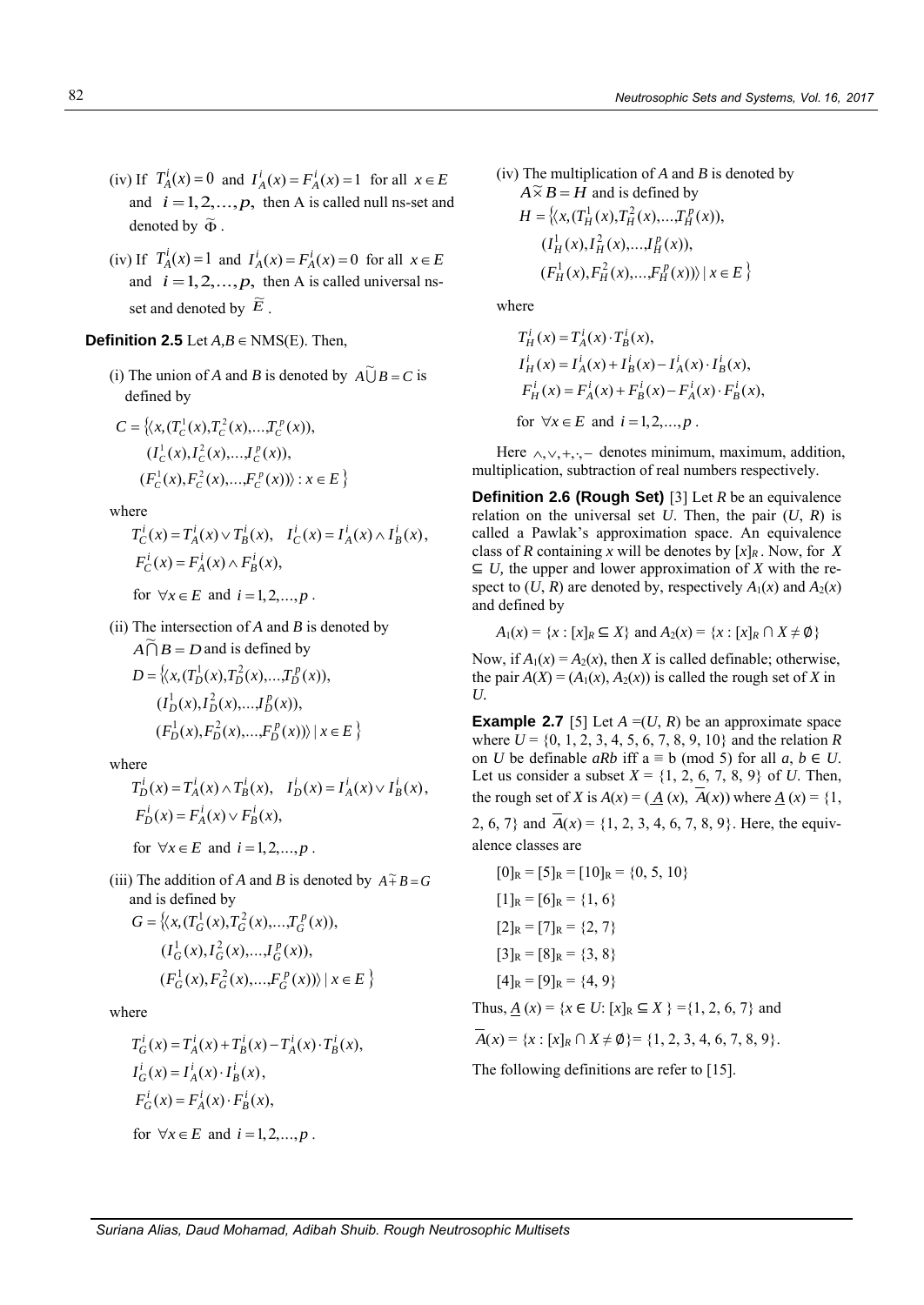- (iv) If  $T_A^i(x) = 0$  and  $I_A^i(x) = F_A^i(x) = 1$  for all  $x \in E_A^i$ and  $i = 1, 2, ..., p$ , then A is called null ns-set and denoted by  $\widetilde{\Phi}$ .
- (iv) If  $T_A^i(x) = 1$  and  $I_A^i(x) = F_A^i(x) = 0$  for all  $x \in E_A^i$ and  $i = 1, 2, ..., p$ , then A is called universal nsset and denoted by  $\widetilde{E}$ .

## **Definition 2.5** Let  $A, B \in NMS(E)$ . Then,

(i) The union of *A* and *B* is denoted by  $\widehat{A \cup B} = C$  is defined by

$$
C = \{ \langle x, (T_c^1(x), T_c^2(x), \dots, T_c^p(x)),
$$
  

$$
(I_c^1(x), I_c^2(x), \dots, I_c^p(x)),
$$
  

$$
(F_c^1(x), F_c^2(x), \dots, F_c^p(x)) \rangle : x \in E \}
$$

where

$$
T_C^i(x) = T_A^i(x) \vee T_B^i(x), \quad I_C^i(x) = I_A^i(x) \wedge I_B^i(x),
$$
  
\n
$$
F_C^i(x) = F_A^i(x) \wedge F_B^i(x),
$$

for  $\forall x \in E$  and  $i = 1, 2, \dots, p$ .

(ii) The intersection of *A* and *B* is denoted by

$$
A \bigcap B = D \text{ and is defined by}
$$
  
\n
$$
D = \{ (x, (T_D^1(x), T_D^2(x), \dots, T_D^p(x)),
$$
  
\n
$$
(I_D^1(x), I_D^2(x), \dots, I_D^p(x)),
$$
  
\n
$$
(F_D^1(x), F_D^2(x), \dots, F_D^p(x)) \mid x \in E \}
$$

where

$$
T_D^i(x) = T_A^i(x) \wedge T_B^i(x), \quad I_D^i(x) = I_A^i(x) \vee I_B^i(x),
$$
  
\n
$$
F_D^i(x) = F_A^i(x) \vee F_B^i(x),
$$

for  $\forall x \in E$  and  $i = 1, 2, ..., p$ .

(iii) The addition of *A* and *B* is denoted by  $A \tilde{+} B = G$ and is defined by

$$
G = \{ \langle x, (T_G^1(x), T_G^2(x), \dots, T_G^p(x)),
$$
  

$$
(I_G^1(x), I_G^2(x), \dots, I_G^p(x)),
$$
  

$$
(F_G^1(x), F_G^2(x), \dots, F_G^p(x)) \rangle \mid x \in E \}
$$

where

$$
T_G^i(x) = T_A^i(x) + T_B^i(x) - T_A^i(x) \cdot T_B^i(x),
$$
  
\n
$$
I_G^i(x) = I_A^i(x) \cdot I_B^i(x),
$$
  
\n
$$
F_G^i(x) = F_A^i(x) \cdot F_B^i(x),
$$
  
\nfor  $\forall x \in E$  and  $i = 1, 2, ..., p$ .

(iv) The multiplication of *A* and *B* is denoted by  $A \widetilde{\times} B = H$  and is defined by

$$
H = \left\{ \langle x, (T_H^1(x), T_H^2(x), \dots, T_H^p(x)), (I_H^1(x), I_H^2(x), \dots, I_H^p(x)), (F_H^1(x), F_H^2(x), \dots, F_H^p(x)) \rangle \mid x \in E \right\}
$$

where

$$
T_H^i(x) = T_A^i(x) \cdot T_B^i(x),
$$
  
\n
$$
I_H^i(x) = I_A^i(x) + I_B^i(x) - I_A^i(x) \cdot I_B^i(x),
$$
  
\n
$$
F_H^i(x) = F_A^i(x) + F_B^i(x) - F_A^i(x) \cdot F_B^i(x),
$$
  
\nfor  $\forall x \in E$  and  $i = 1, 2, ..., p$ .

Here  $\wedge, \vee, +, \cdot, -$  denotes minimum, maximum, addition, multiplication, subtraction of real numbers respectively.

**Definition 2.6 (Rough Set)** [3] Let *R* be an equivalence relation on the universal set  $U$ . Then, the pair  $(U, R)$  is called a Pawlak's approximation space. An equivalence class of *R* containing *x* will be denotes by  $[x]_R$ . Now, for *X* ⊆ *U,* the upper and lower approximation of *X* with the respect to  $(U, R)$  are denoted by, respectively  $A_1(x)$  and  $A_2(x)$ and defined by

$$
A_1(x) = \{x : [x]_R \subseteq X\}
$$
 and  $A_2(x) = \{x : [x]_R \cap X \neq \emptyset\}$ 

Now, if  $A_1(x) = A_2(x)$ , then *X* is called definable; otherwise, the pair  $A(X) = (A_1(x), A_2(x))$  is called the rough set of X in *U.*

**Example 2.7** [5] Let  $A = (U, R)$  be an approximate space where *U* = {0, 1, 2, 3, 4, 5, 6, 7, 8, 9, 10} and the relation *R* on *U* be definable *aRb* iff  $a ≡ b \pmod{5}$  for all *a*, *b* ∈ *U*. Let us consider a subset  $X = \{1, 2, 6, 7, 8, 9\}$  of *U*. Then, the rough set of *X* is  $A(x) = (A(x), A(x))$  where  $A(x) = \{1,$ 2, 6, 7} and  $A(x) = \{1, 2, 3, 4, 6, 7, 8, 9\}$ . Here, the equivalence classes are

$$
[0]_R = [5]_R = [10]_R = \{0, 5, 10\}
$$

$$
[1]_R = [6]_R = \{1, 6\}
$$

$$
[2]_R = [7]_R = \{2, 7\}
$$

$$
[3]_R = [8]_R = \{3, 8\}
$$

$$
[4]_R = [9]_R = \{4, 9\}
$$

Thus,  $\underline{A}(x) = \{x \in U: [x]_R \subseteq X\} = \{1, 2, 6, 7\}$  and

$$
A(x) = \{x : [x]_R \cap X \neq \emptyset\} = \{1, 2, 3, 4, 6, 7, 8, 9\}.
$$

The following definitions are refer to [15].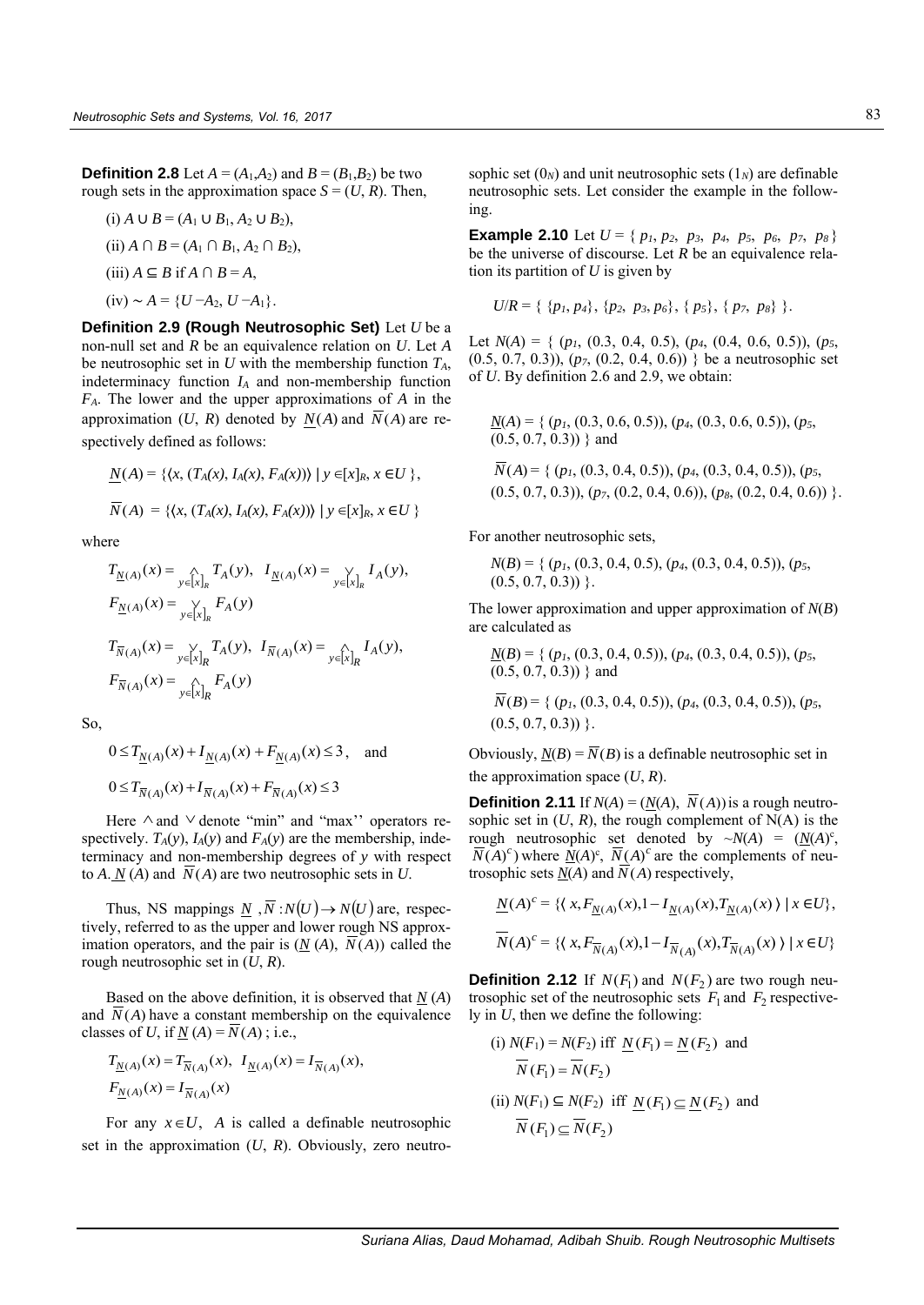**Definition 2.8** Let  $A = (A_1, A_2)$  and  $B = (B_1, B_2)$  be two rough sets in the approximation space  $S = (U, R)$ . Then,

(i) 
$$
A \cup B = (A_1 \cup B_1, A_2 \cup B_2),
$$
  
\n(ii)  $A \cap B = (A_1 \cap B_1, A_2 \cap B_2),$   
\n(iii)  $A \subseteq B$  if  $A \cap B = A,$   
\n(iv)  $\sim A = \{U - A_2, U - A_1\}.$ 

**Definition 2.9 (Rough Neutrosophic Set)** Let *U* be a non-null set and *R* be an equivalence relation on *U*. Let *A* be neutrosophic set in *U* with the membership function *TA*, indeterminacy function *I<sup>A</sup>* and non-membership function *FA*. The lower and the upper approximations of *A* in the approximation  $(U, R)$  denoted by  $N(A)$  and  $N(A)$  are respectively defined as follows:

$$
\underline{N}(A) = \{ \langle x, (T_A(x), I_A(x), F_A(x)) \rangle \mid y \in [x]_R, x \in U \},
$$
  

$$
\overline{N}(A) = \{ \langle x, (T_A(x), I_A(x), F_A(x)) \rangle \mid y \in [x]_R, x \in U \}
$$

where

$$
T_{\underline{N}(A)}(x) = \bigcap_{y \in [x]_R} T_A(y), \quad I_{\underline{N}(A)}(x) = \bigvee_{y \in [x]_R} I_A(y),
$$
  
\n
$$
F_{\underline{N}(A)}(x) = \bigvee_{y \in [x]_R} F_A(y)
$$
  
\n
$$
T_{\overline{N}(A)}(x) = \bigvee_{y \in [x]_R} T_A(y), \quad I_{\overline{N}(A)}(x) = \bigwedge_{y \in [x]_R} I_A(y),
$$
  
\n
$$
F_{\overline{N}(A)}(x) = \bigwedge_{y \in [x]_R} F_A(y)
$$

So,

$$
0 \le T_{\underline{N}(A)}(x) + I_{\underline{N}(A)}(x) + F_{\underline{N}(A)}(x) \le 3, \text{ and}
$$
  

$$
0 \le T_{\overline{N}(A)}(x) + I_{\overline{N}(A)}(x) + F_{\overline{N}(A)}(x) \le 3
$$

Here  $\wedge$  and  $\vee$  denote "min" and "max" operators respectively.  $T_A(y)$ ,  $I_A(y)$  and  $F_A(y)$  are the membership, indeterminacy and non-membership degrees of *y* with respect to  $A \cdot N(A)$  and  $\overline{N}(A)$  are two neutrosophic sets in *U*.

Thus, NS mappings  $\underline{N}$ ,  $\overline{N}$ :  $N(U) \rightarrow N(U)$  are, respectively, referred to as the upper and lower rough NS approximation operators, and the pair is  $(\underline{N}(A), N(A))$  called the rough neutrosophic set in (*U*, *R*).

Based on the above definition, it is observed that  $N(A)$ and  $\overline{N}(A)$  have a constant membership on the equivalence classes of *U*, if  $\underline{N}(A) = \overline{N}(A)$ ; i.e.,

$$
T_{\underline{N}(A)}(x) = T_{\overline{N}(A)}(x), \quad I_{\underline{N}(A)}(x) = I_{\overline{N}(A)}(x),
$$
  

$$
F_{\underline{N}(A)}(x) = I_{\overline{N}(A)}(x)
$$

For any  $x \in U$ , A is called a definable neutrosophic set in the approximation (*U*, *R*). Obviously, zero neutrosophic set  $(0_N)$  and unit neutrosophic sets  $(1_N)$  are definable neutrosophic sets. Let consider the example in the following.

**Example 2.10** Let  $U = \{ p_1, p_2, p_3, p_4, p_5, p_6, p_7, p_8 \}$ be the universe of discourse. Let *R* be an equivalence relation its partition of *U* is given by

$$
U/R = \{ \{p_1, p_4\}, \{p_2, p_3, p_6\}, \{p_5\}, \{p_7, p_8\} \}.
$$

Let *N*(*A*) = { (*p1*, (0.3, 0.4, 0.5), (*p4*, (0.4, 0.6, 0.5)), (*p5*, (0.5, 0.7, 0.3)), (*p7*, (0.2, 0.4, 0.6)) } be a neutrosophic set of *U*. By definition 2.6 and 2.9, we obtain:

$$
\underline{N}(A) = \{ (p_1, (0.3, 0.6, 0.5)), (p_4, (0.3, 0.6, 0.5)), (p_5, (0.5, 0.7, 0.3)) \}
$$
 and

$$
N(A) = \{ (p_1, (0.3, 0.4, 0.5)), (p_4, (0.3, 0.4, 0.5)), (p_5, (0.5, 0.7, 0.3)), (p_7, (0.2, 0.4, 0.6)), (p_8, (0.2, 0.4, 0.6)) \}.
$$

For another neutrosophic sets,

$$
N(B) = \{ (p_1, (0.3, 0.4, 0.5), (p_4, (0.3, 0.4, 0.5)), (p_5, (0.5, 0.7, 0.3)) \}.
$$

The lower approximation and upper approximation of *N*(*B*) are calculated as

$$
\underline{N}(B) = \{ (p_1, (0.3, 0.4, 0.5)), (p_4, (0.3, 0.4, 0.5)), (p_5, (0.5, 0.7, 0.3)) \}
$$
 and

$$
\overline{N}(B) = \{ (p_1, (0.3, 0.4, 0.5)), (p_4, (0.3, 0.4, 0.5)), (p_5, (0.5, 0.7, 0.3)) \}.
$$

Obviously,  $\underline{N}(B) = \overline{N}(B)$  is a definable neutrosophic set in the approximation space  $(U, R)$ .

**Definition 2.11** If  $N(A) = (N(A), N(A))$  is a rough neutrosophic set in  $(U, R)$ , the rough complement of  $N(A)$  is the rough neutrosophic set denoted by  $\sim N(A) = (N(A))^c$ ,  $\overline{N}(A)^c$ ) where  $\underline{N}(A)^c$ ,  $\overline{N}(A)^c$  are the complements of neutrosophic sets  $N(A)$  and  $N(A)$  respectively,

$$
\underline{N}(A)^c = \{ \langle x, F_{\underline{N}(A)}(x), 1 - I_{\underline{N}(A)}(x), T_{\underline{N}(A)}(x) \rangle \mid x \in U \},\
$$
  

$$
\overline{N}(A)^c = \{ \langle x, F_{\overline{N}(A)}(x), 1 - I_{\overline{N}(A)}(x), T_{\overline{N}(A)}(x) \rangle \mid x \in U \}
$$

**Definition 2.12** If  $N(F_1)$  and  $N(F_2)$  are two rough neutrosophic set of the neutrosophic sets  $F_1$  and  $F_2$  respectively in *U*, then we define the following:

(i) 
$$
N(F_1) = N(F_2)
$$
 iff  $\underline{N}(F_1) = \underline{N}(F_2)$  and  
\n $\overline{N}(F_1) = \overline{N}(F_2)$   
\n(ii)  $N(F_1) \subseteq N(F_2)$  iff  $\underline{N}(F_1) \subseteq \underline{N}(F_2)$  and  
\n $\overline{N}(F_1) \subseteq \overline{N}(F_2)$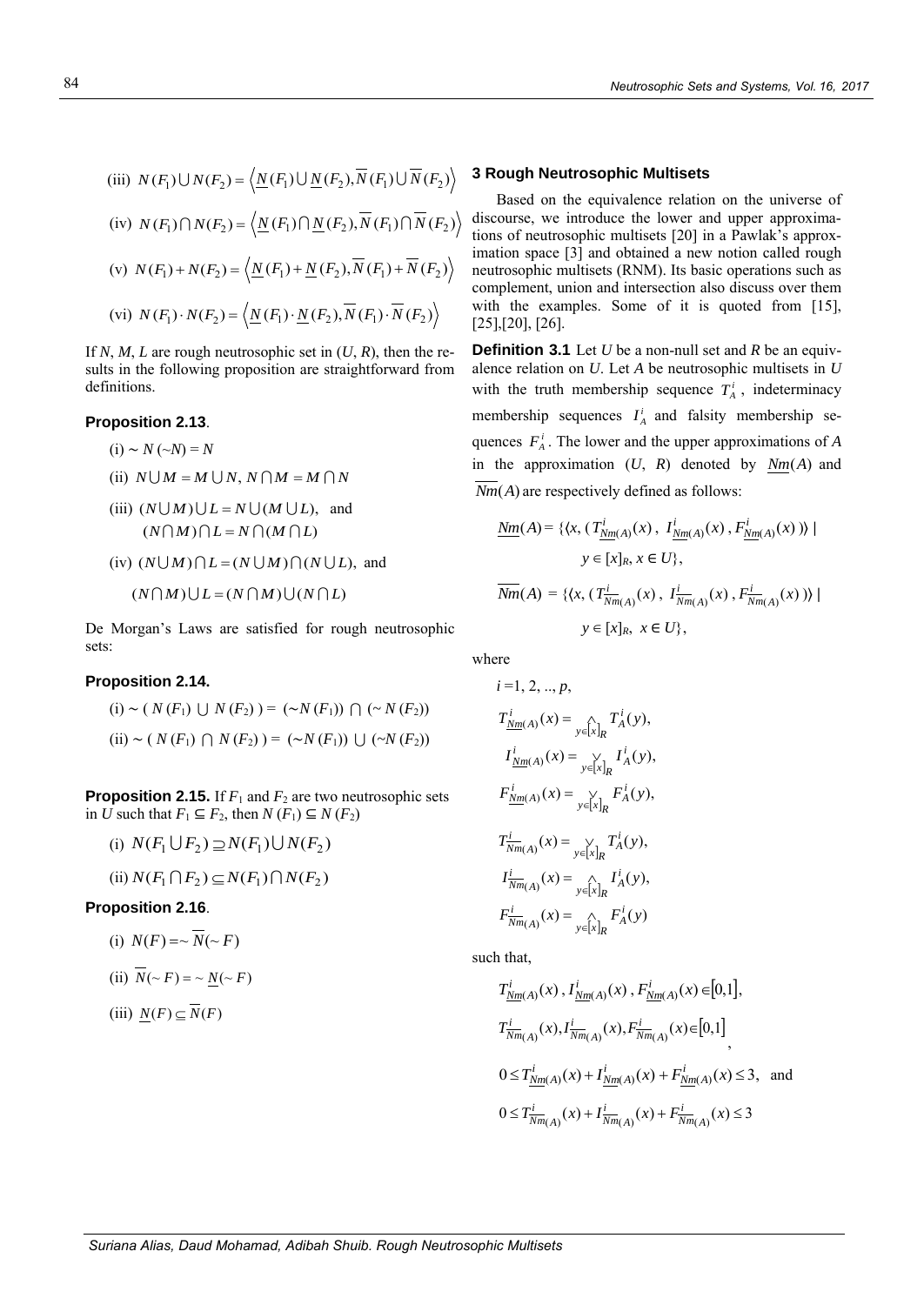(iii) 
$$
N(F_1) \cup N(F_2) = \langle \underline{N}(F_1) \cup \underline{N}(F_2), \overline{N}(F_1) \cup \overline{N}(F_2) \rangle
$$
  
\n(iv)  $N(F_1) \cap N(F_2) = \langle \underline{N}(F_1) \cap \underline{N}(F_2), \overline{N}(F_1) \cap \overline{N}(F_2) \rangle$   
\n(v)  $N(F_1) + N(F_2) = \langle \underline{N}(F_1) + \underline{N}(F_2), \overline{N}(F_1) + \overline{N}(F_2) \rangle$   
\n(vi)  $N(F_1) \cdot N(F_2) = \langle \underline{N}(F_1) \cdot \underline{N}(F_2), \overline{N}(F_1) \cdot \overline{N}(F_2) \rangle$ 

If *N*, *M*, *L* are rough neutrosophic set in  $(U, R)$ , then the results in the following proposition are straightforward from definitions.

#### **Proposition 2.13**.

- (i) ∼ *N* (~*N*) = *N*
- (ii)  $N \cup M = M \cup N$ ,  $N \cap M = M \cap N$
- (iii)  $(N \cup M) \cup L = N \cup (M \cup L)$ , and  $(N \cap M) \cap L = N \cap (M \cap L)$
- $(iv)$   $(N \cup M) \cap L = (N \cup M) \cap (N \cup L)$ , and

$$
(N \cap M) \cup L = (N \cap M) \cup (N \cap L)
$$

De Morgan's Laws are satisfied for rough neutrosophic sets:

#### **Proposition 2.14.**

(i) ~ (
$$
N(F_1)
$$
  $\cup$   $N(F_2)$  ) = ( $\sim N(F_1)$ )  $\cap$  ( $\sim N(F_2)$ )  
(ii) ~ ( $N(F_1)$   $\cap$   $N(F_2)$  ) = ( $\sim N(F_1)$ )  $\cup$  ( $\sim N(F_2)$ )

**Proposition 2.15.** If  $F_1$  and  $F_2$  are two neutrosophic sets in *U* such that  $F_1$  ⊆  $F_2$ , then  $N(F_1)$  ⊆  $N(F_2)$ 

(i) 
$$
N(F_1 \cup F_2) \supseteq N(F_1) \cup N(F_2)
$$
  
(ii)  $N(F_1 \cap F_2) \subseteq N(F_1) \cap N(F_2)$ 

#### **Proposition 2.16**.

(i) 
$$
N(F) = \sqrt{N}(\sim F)
$$

(ii) 
$$
N(\sim F) = \sim \underline{N}(\sim F)
$$

$$
(iii) \ \underline{N}(F) \subseteq N(F)
$$

# **3 Rough Neutrosophic Multisets**

Based on the equivalence relation on the universe of discourse, we introduce the lower and upper approximations of neutrosophic multisets [20] in a Pawlak's approximation space [3] and obtained a new notion called rough neutrosophic multisets (RNM). Its basic operations such as complement, union and intersection also discuss over them with the examples. Some of it is quoted from [15], [25],[20], [26].

**Definition 3.1** Let *U* be a non-null set and *R* be an equivalence relation on *U*. Let *A* be neutrosophic multisets in *U* with the truth membership sequence  $T_A^i$ , indeterminacy membership sequences  $I_A^i$  and falsity membership sequences  $F_A^i$ . The lower and the upper approximations of *A* in the approximation  $(U, R)$  denoted by  $Nm(A)$  and  $Nm(A)$  are respectively defined as follows:

$$
\underline{Nm}(A) = \{ \langle x, (T^i_{\underline{Nm}(A)}(x), I^i_{\underline{Nm}(A)}(x), F^i_{\underline{Nm}(A)}(x)) \rangle \mid
$$

$$
y \in [x]_R, x \in U \},
$$

$$
\overline{Nm}(A) = \{ \langle x, (T^i_{\overline{Nm}(A)}(x), I^i_{\overline{Nm}(A)}(x), F^i_{\overline{Nm}(A)}(x)) \rangle \mid
$$

$$
y \in [x]_R, x \in U \},
$$

where

$$
i = 1, 2, ..., p,
$$
  
\n
$$
T_{\underline{Nm}(A)}^{i}(x) = \bigcap_{y \in [x]_R} T_A^{i}(y),
$$
  
\n
$$
T_{\underline{Nm}(A)}^{i}(x) = \bigcup_{y \in [x]_R} T_A^{i}(y),
$$
  
\n
$$
F_{\underline{Nm}(A)}^{i}(x) = \bigcup_{y \in [x]_R} F_A^{i}(y),
$$
  
\n
$$
T_{\overline{Nm}(A)}^{i}(x) = \bigcup_{y \in [x]_R} T_A^{i}(y),
$$
  
\n
$$
T_{\overline{Nm}(A)}^{i}(x) = \bigcap_{y \in [x]_R} T_A^{i}(y),
$$
  
\n
$$
F_{\overline{Nm}(A)}^{i}(x) = \bigcap_{y \in [x]_R} F_A^{i}(y)
$$

such that,

$$
T_{\underline{Nm}(A)}^i(x), I_{\underline{Nm}(A)}^i(x), F_{\underline{Nm}(A)}^i(x) \in [0,1],
$$
  
\n
$$
T_{\overline{Nm}(A)}^i(x), I_{\overline{Nm}(A)}^i(x), F_{\overline{Nm}(A)}^i(x) \in [0,1],
$$
  
\n
$$
0 \le T_{\underline{Nm}(A)}^i(x) + I_{\underline{Nm}(A)}^i(x) + F_{\underline{Nm}(A)}^i(x) \le 3, \text{ and}
$$
  
\n
$$
0 \le T_{\overline{Nm}(A)}^i(x) + I_{\overline{Nm}(A)}^i(x) + F_{\overline{Nm}(A)}^i(x) \le 3
$$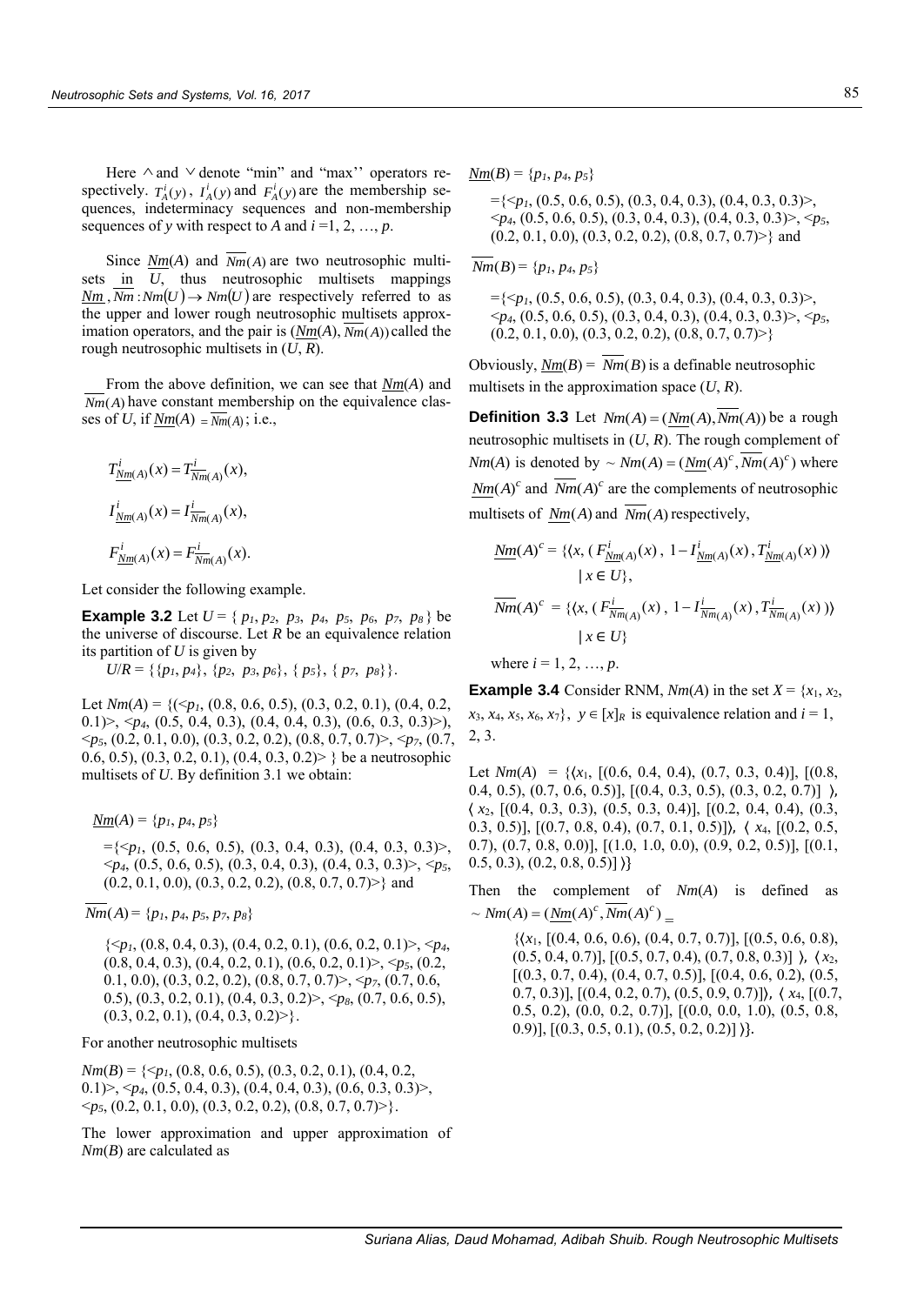Here  $\land$  and  $\lor$  denote "min" and "max" operators respectively.  $T_A^i(y)$ ,  $I_A^i(y)$  and  $F_A^i(y)$  are the membership sequences, indeterminacy sequences and non-membership sequences of *y* with respect to *A* and  $i = 1, 2, ..., p$ .

Since  $\frac{Nm(A)}{Am(A)}$  and  $Nm(A)$  are two neutrosophic multisets in *U*, thus neutrosophic multisets mappings  $\frac{\text{Nm}}{\text{Nm}}$ ,  $\frac{\text{Nm}}{\text{Nm}}$  :  $\frac{\text{Nm}}{\text{Nm}}$  :  $\frac{\text{Nm}}{\text{Nm}}$  :  $\frac{\text{Nm}}{\text{Nm}}$  :  $\frac{\text{Nm}}{\text{Nm}}$  :  $\frac{\text{Nm}}{\text{Nm}}$  :  $\frac{\text{Nm}}{\text{Nm}}$  :  $\frac{\text{Nm}}{\text{Nm}}$  :  $\frac{\text{Nm}}{\text{Nm}}$  :  $\frac{\text{Nm}}{\text{Nm}}$  :  $\frac{\text{Nm}}{\text{N$ the upper and lower rough neutrosophic multisets approximation operators, and the pair is (*Nm*(*A*), *Nm*(*A*)) called the rough neutrosophic multisets in (*U*, *R*).

From the above definition, we can see that *Nm*(*A*) and  $Nm(A)$  have constant membership on the equivalence classes of *U*, if  $\underline{Nm}(A) = \overline{Nm}(A)$ ; i.e.,

$$
T_{\underline{Nm}(A)}^i(x) = T_{\overline{Nm}(A)}^i(x),
$$
  
\n
$$
I_{\underline{Nm}(A)}^i(x) = I_{\overline{Nm}(A)}^i(x),
$$
  
\n
$$
F_{\underline{Nm}(A)}^i(x) = F_{\overline{Nm}(A)}^i(x).
$$

Let consider the following example.

**Example 3.2** Let  $U = \{ p_1, p_2, p_3, p_4, p_5, p_6, p_7, p_8 \}$  be the universe of discourse. Let  $R$  be an equivalence relation its partition of *U* is given by

 $U/R = \{\{p_1, p_4\}, \{p_2, p_3, p_6\}, \{p_5\}, \{p_7, p_8\}\}.$ 

Let  $Nm(A) = \{(\leq p_1, (0.8, 0.6, 0.5), (0.3, 0.2, 0.1), (0.4, 0.2,$ 0.1)>, <*p4*, (0.5, 0.4, 0.3), (0.4, 0.4, 0.3), (0.6, 0.3, 0.3)>), <*p5*, (0.2, 0.1, 0.0), (0.3, 0.2, 0.2), (0.8, 0.7, 0.7)>, <*p7*, (0.7, 0.6, 0.5), (0.3, 0.2, 0.1), (0.4, 0.3, 0.2) } be a neutrosophic multisets of *U*. By definition 3.1 we obtain:

*Nm*(*A*) = { $p_1, p_4, p_5$ }

={<*p1*, (0.5, 0.6, 0.5), (0.3, 0.4, 0.3), (0.4, 0.3, 0.3)>,  $\langle p_4, (0.5, 0.6, 0.5), (0.3, 0.4, 0.3), (0.4, 0.3, 0.3) \rangle$ ,  $\langle p_5,$  $(0.2, 0.1, 0.0), (0.3, 0.2, 0.2), (0.8, 0.7, 0.7)$  and

 $Nm(A) = \{p_1, p_4, p_5, p_7, p_8\}$ 

 $\{\langle p_1, (0.8, 0.4, 0.3), (0.4, 0.2, 0.1), (0.6, 0.2, 0.1)\rangle, \langle p_4, (0.4, 0.2, 0.1)\rangle\}$ (0.8, 0.4, 0.3), (0.4, 0.2, 0.1), (0.6, 0.2, 0.1)>, <*p5*, (0.2, 0.1, 0.0), (0.3, 0.2, 0.2), (0.8, 0.7, 0.7)>, <*p7*, (0.7, 0.6, 0.5), (0.3, 0.2, 0.1), (0.4, 0.3, 0.2)>, <*p8*, (0.7, 0.6, 0.5),  $(0.3, 0.2, 0.1), (0.4, 0.3, 0.2)$ .

For another neutrosophic multisets

 $Nm(B) = \{ \leq p_1, (0.8, 0.6, 0.5), (0.3, 0.2, 0.1), (0.4, 0.2,$ 0.1)>, <*p4*, (0.5, 0.4, 0.3), (0.4, 0.4, 0.3), (0.6, 0.3, 0.3)>, <*p5*, (0.2, 0.1, 0.0), (0.3, 0.2, 0.2), (0.8, 0.7, 0.7)>}.

The lower approximation and upper approximation of *Nm*(*B*) are calculated as

*Nm*(*B*) = { $p_1, p_4, p_5$ }

={<*p1*, (0.5, 0.6, 0.5), (0.3, 0.4, 0.3), (0.4, 0.3, 0.3)>, <*p4*, (0.5, 0.6, 0.5), (0.3, 0.4, 0.3), (0.4, 0.3, 0.3)>, <*p5*,  $(0.2, 0.1, 0.0), (0.3, 0.2, 0.2), (0.8, 0.7, 0.7)$  and

 $Nm(B) = \{p_1, p_4, p_5\}$ 

 $=\{ \leq p_1, (0.5, 0.6, 0.5), (0.3, 0.4, 0.3), (0.4, 0.3, 0.3) \}$  $\langle p_4, (0.5, 0.6, 0.5), (0.3, 0.4, 0.3), (0.4, 0.3, 0.3) \rangle, \langle p_5,$  $(0.2, 0.1, 0.0), (0.3, 0.2, 0.2), (0.8, 0.7, 0.7)$ 

Obviously,  $\underline{Nm}(B) = Nm(B)$  is a definable neutrosophic multisets in the approximation space (*U*, *R*).

**Definition 3.3** Let  $Nm(A) = (Nm(A),Nm(A))$  be a rough neutrosophic multisets in (*U*, *R*). The rough complement of  $Nm(A)$  is denoted by  $\sim Nm(A) = (Nm(A)^c, \overline{Nm}(A)^c)$  where  $Nm(A)^c$  and  $\overline{Nm}(A)^c$  are the complements of neutrosophic multisets of  $\text{Nm}(A)$  and  $\text{Nm}(A)$  respectively,

$$
\underline{Nm}(A)^c = \{ \langle x, (F^i_{\underline{Nm}(A)}(x), 1 - I^i_{\underline{Nm}(A)}(x), T^i_{\underline{Nm}(A)}(x)) \rangle \mid x \in U \},\
$$
\n
$$
\overline{Nm}(A)^c = \{ \langle x, (F^i_{\overline{Nm}(A)}(x), 1 - I^i_{\overline{Nm}(A)}(x), T^i_{\overline{Nm}(A)}(x)) \rangle \mid x \in U \}
$$

where  $i = 1, 2, ..., p$ .

**Example 3.4** Consider RNM,  $Nm(A)$  in the set  $X = \{x_1, x_2,$  $x_3, x_4, x_5, x_6, x_7$ ,  $y \in [x]_R$  is equivalence relation and  $i = 1$ , 2, 3.

Let  $Nm(A) = \{ (x_1, (0.6, 0.4, 0.4), (0.7, 0.3, 0.4), (0.8, 0.4), (0.7, 0.3, 0.4) \}$ 0.4, 0.5),  $(0.7, 0.6, 0.5)$ ],  $[(0.4, 0.3, 0.5), (0.3, 0.2, 0.7)]$   $\rangle$ , ⟨ *x*2, [(0.4, 0.3, 0.3), (0.5, 0.3, 0.4)], [(0.2, 0.4, 0.4), (0.3, 0.3, 0.5)], [(0.7, 0.8, 0.4), (0.7, 0.1, 0.5)]⟩, ⟨ *x*4, [(0.2, 0.5, 0.7), (0.7, 0.8, 0.0)], [(1.0, 1.0, 0.0), (0.9, 0.2, 0.5)], [(0.1,  $(0.5, 0.3), (0.2, 0.8, 0.5)$ 

Then the complement of *Nm*(*A*) is defined as  $\sim Nm(A) = (\underline{Nm}(A)^c, \overline{Nm}(A)^c) =$ 

> $\{(x_1, \, (0.4, \, 0.6, \, 0.6), \, (0.4, \, 0.7, \, 0.7), \, (0.5, \, 0.6, \, 0.8),\}$ (0.5, 0.4, 0.7)], [(0.5, 0.7, 0.4), (0.7, 0.8, 0.3)] ⟩, ⟨ *x*2,  $[(0.3, 0.7, 0.4), (0.4, 0.7, 0.5)], [(0.4, 0.6, 0.2), (0.5,$ 0.7, 0.3)], [(0.4, 0.2, 0.7), (0.5, 0.9, 0.7)]⟩, ⟨ *x*4, [(0.7, 0.5, 0.2), (0.0, 0.2, 0.7)], [(0.0, 0.0, 1.0), (0.5, 0.8, 0.9)],  $[(0.3, 0.5, 0.1), (0.5, 0.2, 0.2)]$ }.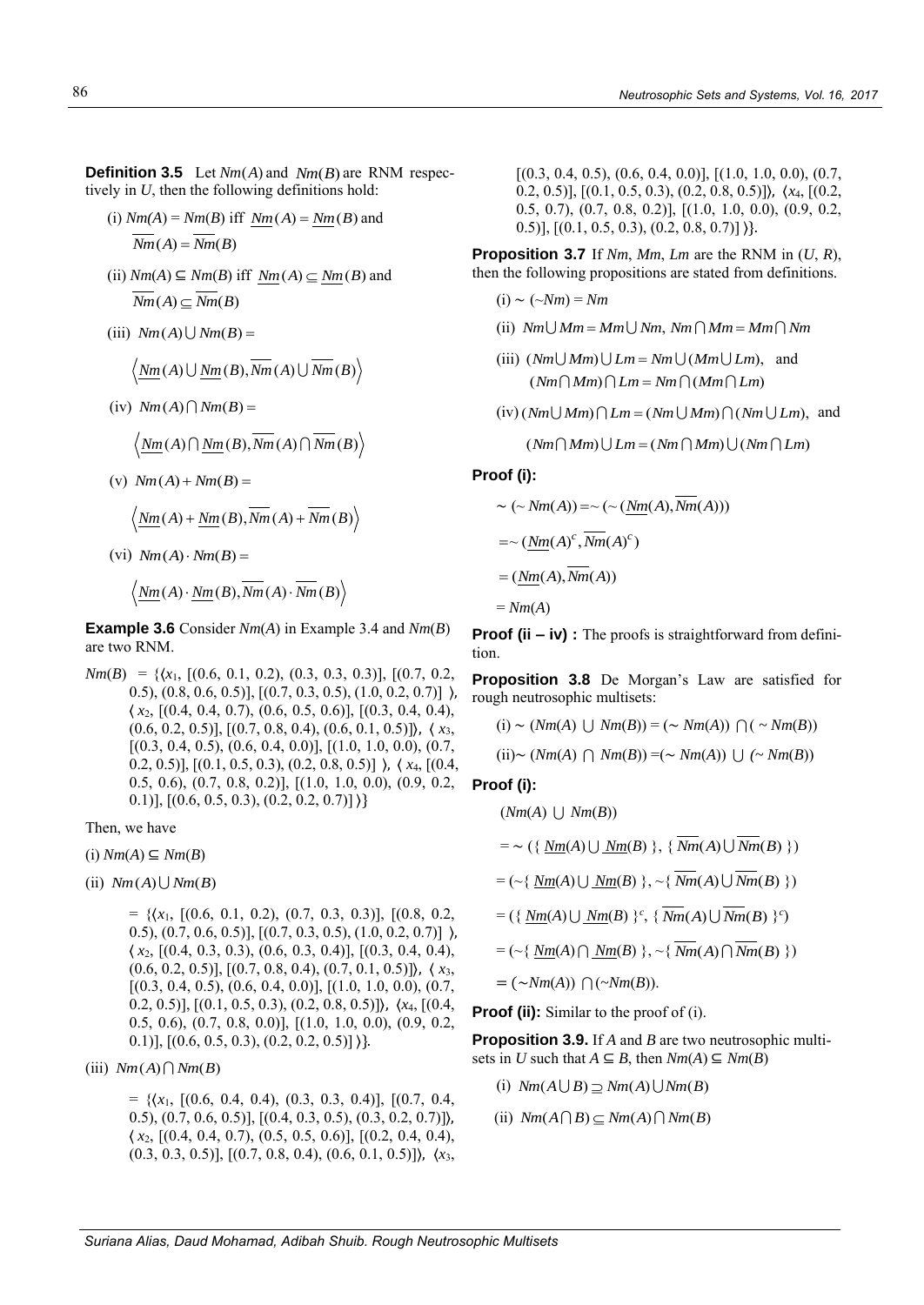**Definition 3.5** Let  $Nm(A)$  and  $Nm(B)$  are RNM respectively in *U*, then the following definitions hold:

- (i)  $Nm(A) = Nm(B)$  iff  $\underline{Nm}(A) = \underline{Nm}(B)$  and  $\overline{Nm}(A) = \overline{Nm}(B)$
- (ii) *Nm*(*A*) ⊆ *Nm*(*B*) iff  $\underline{Nm}(A) \subseteq \underline{Nm}(B)$  and  $Nm(A) \subset Nm(B)$
- $(iii)$   $Nm(A)$   $\cup$   $Nm(B)$  =

$$
\langle \underline{Nm}(A) \cup \underline{Nm}(B), \overline{Nm}(A) \cup \overline{Nm}(B) \rangle
$$

 $(iv)$   $Nm(A) \cap Nm(B) =$ 

$$
\langle Nm(A) \cap Nm(B), \overline{Nm}(A) \cap \overline{Nm}(B) \rangle
$$

(v)  $Nm(A) + Nm(B) =$ 

$$
\langle Nm(A) + Nm(B), \overline{Nm}(A) + \overline{Nm}(B) \rangle
$$

 $(vi)$   $Nm(A) \cdot Nm(B) =$ 

$$
\langle \underline{\textit{Nm}}(A)\cdot \underline{\textit{Nm}}(B),\overline{\textit{Nm}}(A)\cdot \overline{\textit{Nm}}(B)\rangle
$$

**Example 3.6** Consider *Nm*(*A*) in Example 3.4 and *Nm*(*B*) are two RNM.

*Nm*(*B*) = { $(x_1, (0.6, 0.1, 0.2), (0.3, 0.3, 0.3)$ ],  $[(0.7, 0.2, 0.3, 0.3)]$ 0.5), (0.8, 0.6, 0.5)], [(0.7, 0.3, 0.5), (1.0, 0.2, 0.7)] ⟩, ⟨ *x*2, [(0.4, 0.4, 0.7), (0.6, 0.5, 0.6)], [(0.3, 0.4, 0.4), (0.6, 0.2, 0.5)], [(0.7, 0.8, 0.4), (0.6, 0.1, 0.5)]⟩, ⟨ *x*3,  $[(0.3, 0.4, 0.5), (0.6, 0.4, 0.0)], [(1.0, 1.0, 0.0), (0.7,$ 0.2, 0.5)], [(0.1, 0.5, 0.3), (0.2, 0.8, 0.5)] ⟩, ⟨ *x*4, [(0.4, 0.5, 0.6), (0.7, 0.8, 0.2)], [(1.0, 1.0, 0.0), (0.9, 0.2, 0.1)],  $[(0.6, 0.5, 0.3), (0.2, 0.2, 0.7)]$ }

Then, we have

(i) *Nm*(*A*) ⊆ *Nm*(*B*)

 $(iii)$   $Nm(A)$   $\cup$   $Nm(B)$ 

 $= \{ (x_1, \, (0.6, \, 0.1, \, 0.2), \, (0.7, \, 0.3, \, 0.3) \}, \, (0.8, \, 0.2, \, 0.3) \}$ 0.5),  $(0.7, 0.6, 0.5)$ ],  $[(0.7, 0.3, 0.5), (1.0, 0.2, 0.7)]$   $\rangle$ , ⟨ *x*2, [(0.4, 0.3, 0.3), (0.6, 0.3, 0.4)], [(0.3, 0.4, 0.4), (0.6, 0.2, 0.5)], [(0.7, 0.8, 0.4), (0.7, 0.1, 0.5)]⟩, ⟨ *x*3,  $[(0.3, 0.4, 0.5), (0.6, 0.4, 0.0)], [(1.0, 1.0, 0.0), (0.7,$ 0.2, 0.5)], [(0.1, 0.5, 0.3), (0.2, 0.8, 0.5)]⟩, ⟨*x*4, [(0.4, 0.5, 0.6), (0.7, 0.8, 0.0)], [(1.0, 1.0, 0.0), (0.9, 0.2, 0.1)],  $[(0.6, 0.5, 0.3), (0.2, 0.2, 0.5)]$  }}.

 $(iii)$   $Nm(A) \cap Nm(B)$ 

 $= \{ (x_1, \, (0.6, \, 0.4, \, 0.4), \, (0.3, \, 0.3, \, 0.4), \, (0.7, \, 0.4, \, 0.4, \, 0.4, \, 0.4, \, 0.4, \, 0.4, \, 0.4, \, 0.4, \, 0.4, \, 0.4, \, 0.4, \, 0.4, \, 0.4, \, 0.4, \, 0.4, \, 0.4, \, 0.4, \, 0.4, \, 0.4, \, 0.4, \, 0.4, \, 0.4, \, 0.4, \,$ 0.5), (0.7, 0.6, 0.5)], [(0.4, 0.3, 0.5), (0.3, 0.2, 0.7)]⟩, ⟨ *x*2, [(0.4, 0.4, 0.7), (0.5, 0.5, 0.6)], [(0.2, 0.4, 0.4), (0.3, 0.3, 0.5)], [(0.7, 0.8, 0.4), (0.6, 0.1, 0.5)]⟩, ⟨*x*3,  $[(0.3, 0.4, 0.5), (0.6, 0.4, 0.0)], [(1.0, 1.0, 0.0), (0.7,$ 0.2, 0.5)], [(0.1, 0.5, 0.3), (0.2, 0.8, 0.5)]⟩, ⟨*x*4, [(0.2, 0.5, 0.7), (0.7, 0.8, 0.2)], [(1.0, 1.0, 0.0), (0.9, 0.2, 0.5)],  $[(0.1, 0.5, 0.3), (0.2, 0.8, 0.7)]$ }}.

**Proposition 3.7** If *Nm*, *Mm*, *Lm* are the RNM in (*U*, *R*), then the following propositions are stated from definitions.

$$
(i) \sim (\sim Nm) = Nm
$$

- $(i)$   $Nm\cup Mm = Mm\cup Nm$ ,  $Nm\cap Mm = Mm\cap Nm$
- (iii)  $(Nm \cup Mm) \cup Lm = Nm \cup (Mm \cup Lm)$ , and  $(Nm \cap Mm) \cap Lm = Nm \cap (Mm \cap Lm)$
- $(iv)(Nm\cup Mm)\bigcap Lm = (Nm\cup Mm)\bigcap (Nm\cup Lm)$ , and

 $(Nm \cap Mm) \cup Lm = (Nm \cap Mm) \cup (Nm \cap Lm)$ 

#### **Proof (i):**

$$
\sim (\sim Nm(A)) = \sim (\sim (\underline{Nm}(A), Nm(A)))
$$
  
=\sim (\underline{Nm}(A)^c, \overline{Nm}(A)^c)  
= (\underline{Nm}(A), \overline{Nm}(A))  
= Nm(A)

**Proof (ii – iv) :** The proofs is straightforward from definition.

**Proposition 3.8** De Morgan's Law are satisfied for rough neutrosophic multisets:

(i) ~ 
$$
(Nm(A) \cup Nm(B)) = (\sim Nm(A)) \cap (\sim Nm(B))
$$
  
(ii)~  $(Nm(A) \cap Nm(B)) = (\sim Nm(A)) \cup (\sim Nm(B))$ 

**Proof (i):**

$$
(Nm(A) \cup Nm(B))
$$
  
= ~ { { $Nm(A) \cup Nm(B) }$  }, {  $Nm(A) \cup Nm(B) }$  }  
= ~ { $Nm(A) \cup Nm(B) }$  }, ~ {  $Nm(A) \cup Nm(B) }$  }  
= ({  $Nm(A) \cup Nm(B) }$  }, ~ {  $Nm(A) \cup Nm(B) }$  }  
= ~ { $Nm(A) \cap Nm(B) }$  }, ~ {  $Nm(A) \cap Nm(B) }$  }  
= ~ { $Nm(A) \cap Nm(B) }$  }, ~ {  $Nm(A) \cap Nm(B) }$  }

**Proof (ii):** Similar to the proof of (i).

**Proposition 3.9.** If *A* and *B* are two neutrosophic multisets in *U* such that  $A \subseteq B$ , then  $Nm(A) \subseteq Nm(B)$ 

- $\text{(i)}$   $Nm(A \cup B) \supseteq Nm(A) \cup Nm(B)$
- $\text{(ii)}$   $Nm(A \cap B) \subseteq Nm(A) \cap Nm(B)$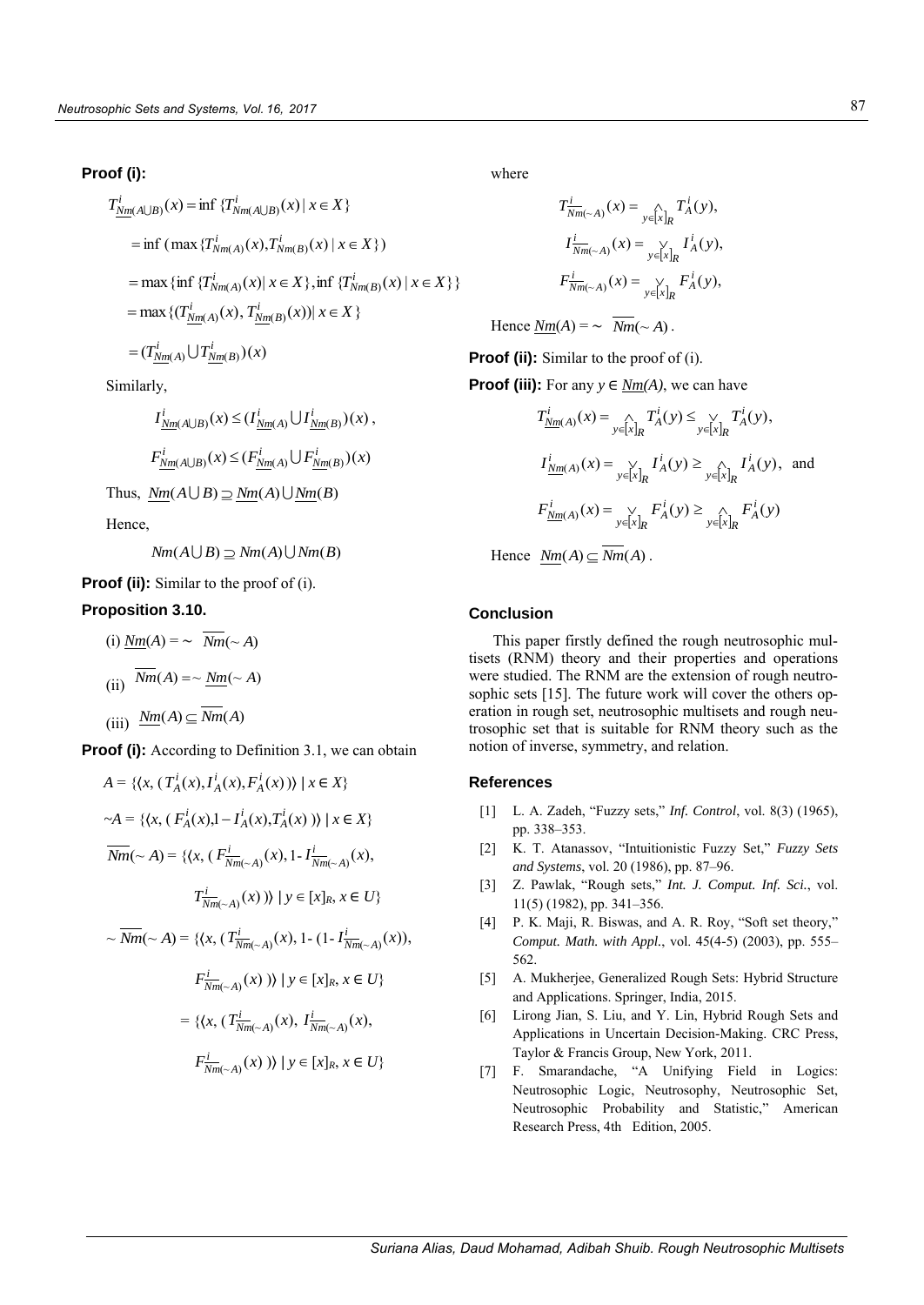#### **Proof (i):**

$$
T_{\underline{Nm}(A \cup B)}^{i}(x) = \inf \{T_{Nm(A \cup B)}^{i}(x) | x \in X\}
$$
  
\n
$$
= \inf (\max \{T_{Nm(A)}^{i}(x), T_{Nm(B)}^{i}(x) | x \in X\})
$$
  
\n
$$
= \max \{\inf \{T_{Nm(A)}^{i}(x) | x \in X\}, \inf \{T_{Nm(B)}^{i}(x) | x \in X\}\}
$$
  
\n
$$
= \max \{(T_{\underline{Nm}(A)}^{i}(x), T_{\underline{Nm}(B)}^{i}(x)) | x \in X\}
$$
  
\n
$$
= (T_{\underline{Nm}(A)}^{i} \cup T_{\underline{Nm}(B)}^{i})(x)
$$

Similarly,

$$
I_{\underline{Nm}(A\cup B)}^i(x) \leq (I_{\underline{Nm}(A)}^i \cup I_{\underline{Nm}(B)}^i)(x),
$$

$$
F_{Nm(A\cup B)}^i(x) \leq (F_{Nm(A)}^i \cup F_{Nm(B)}^i)(x)
$$

Thus,  $\underline{Nm}(A \cup B) \supseteq \underline{Nm}(A) \cup \underline{Nm}(B)$ 

Hence,

 $Nm(A \cup B) \supseteq Nm(A) \cup Nm(B)$ 

**Proof (ii):** Similar to the proof of (i).

### **Proposition 3.10.**

(i) 
$$
\underline{Nm}(A) = \sim Nm(\sim A)
$$
  
\n(ii)  $\overline{Nm}(A) = \sim \underline{Nm}(\sim A)$   
\n(iii)  $\underline{Nm}(A) \subseteq \overline{Nm}(A)$ 

**Proof (i):** According to Definition 3.1, we can obtain

$$
A = \{ \langle x, (T_A^i(x), I_A^i(x), F_A^i(x)) \rangle \mid x \in X \}
$$
  
\n
$$
\sim A = \{ \langle x, (F_A^i(x), I - I_A^i(x), T_A^i(x)) \rangle \mid x \in X \}
$$
  
\n
$$
\overline{Nm}(\sim A) = \{ \langle x, (F_{Nm(\sim A)}^i(x), I - I_{Nm(\sim A)}^i(x),
$$
  
\n
$$
T_{Nm(\sim A)}^i(x)) \rangle \mid y \in [x]_R, x \in U \}
$$
  
\n
$$
\sim \overline{Nm}(\sim A) = \{ \langle x, (T_{Nm(\sim A)}^i(x), I - (1 - I_{Nm(\sim A)}^i(x)),
$$
  
\n
$$
F_{Nm(\sim A)}^i(x)) \rangle \mid y \in [x]_R, x \in U \}
$$
  
\n
$$
= \{ \langle x, (T_{Nm(\sim A)}^i(x), I_{Nm(\sim A)}^i(x),
$$

$$
F^i_{\overline{Nm}(-A)}(x) \rvert y \in [x]_R, x \in U
$$

where

$$
T_{Nm(\sim A)}^i(x) = \bigwedge_{y \in [x]_R} T_A^i(y),
$$
  
\n
$$
I_{Nm(\sim A)}^i(x) = \bigvee_{y \in [x]_R} I_A^i(y),
$$
  
\n
$$
F_{Nm(\sim A)}^i(x) = \bigvee_{y \in [x]_R} F_A^i(y),
$$

Hence  $Nm(A) = \sim \overline{Nm}(\sim A)$ .

**Proof (ii):** Similar to the proof of (i).

**Proof (iii):** For any  $y \in Nm(A)$ , we can have

$$
T_{\underline{Nm}(A)}^i(x) = \bigcap_{y \in [x]_R} T_A^i(y) \le \bigvee_{y \in [x]_R} T_A^i(y),
$$
  

$$
I_{\underline{Nm}(A)}^i(x) = \bigvee_{y \in [x]_R} I_A^i(y) \ge \bigvee_{y \in [x]_R} I_A^i(y), \text{ and}
$$
  

$$
F_{\underline{Nm}(A)}^i(x) = \bigvee_{y \in [x]_R} F_A^i(y) \ge \bigwedge_{y \in [x]_R} F_A^i(y)
$$

Hence  $Nm(A) \subseteq Nm(A)$ .

#### **Conclusion**

This paper firstly defined the rough neutrosophic multisets (RNM) theory and their properties and operations were studied. The RNM are the extension of rough neutrosophic sets [15]. The future work will cover the others operation in rough set, neutrosophic multisets and rough neutrosophic set that is suitable for RNM theory such as the notion of inverse, symmetry, and relation.

#### **References**

- [1] L. A. Zadeh, "Fuzzy sets," *Inf. Control*, vol. 8(3) (1965), pp. 338–353.
- [2] K. T. Atanassov, "Intuitionistic Fuzzy Set," *Fuzzy Sets and Systems*, vol. 20 (1986), pp. 87–96.
- [3] Z. Pawlak, "Rough sets," *Int. J. Comput. Inf. Sci.*, vol. 11(5) (1982), pp. 341–356.
- [4] P. K. Maji, R. Biswas, and A. R. Roy, "Soft set theory," *Comput. Math. with Appl.*, vol. 45(4-5) (2003), pp. 555– 562.
- [5] A. Mukherjee, Generalized Rough Sets: Hybrid Structure and Applications. Springer, India, 2015.
- [6] Lirong Jian, S. Liu, and Y. Lin, Hybrid Rough Sets and Applications in Uncertain Decision-Making. CRC Press, Taylor & Francis Group, New York, 2011.
- [7] F. Smarandache, "A Unifying Field in Logics: Neutrosophic Logic, Neutrosophy, Neutrosophic Set, Neutrosophic Probability and Statistic," American Research Press, 4th Edition, 2005.